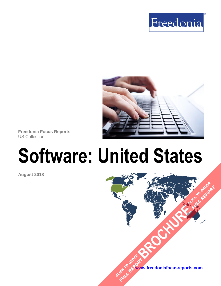



**Freedonia Focus Reports** US Collection

# **Software: United States**

**August 2018**

**[www.freedoniafocusreports.com](https://www.freedoniafocusreports.com/redirect.asp?progid=89534&url=/)** CLICK TO ORDER **FULL REPORT** 

**[BROCHURE](https://www.freedoniafocusreports.com/Software-United-States-FF95028/?progid=89541) CLICK TO ORDER** 

**FULL REPORT**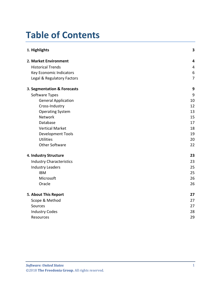# **Table of Contents**

| 1. Highlights                   | 3                       |
|---------------------------------|-------------------------|
| 2. Market Environment           | $\overline{\mathbf{4}}$ |
| <b>Historical Trends</b>        | 4                       |
| <b>Key Economic Indicators</b>  | $\boldsymbol{6}$        |
| Legal & Regulatory Factors      | $\overline{7}$          |
| 3. Segmentation & Forecasts     | 9                       |
| Software Types                  | 9                       |
| <b>General Application</b>      | 10                      |
| Cross-Industry                  | 12                      |
| <b>Operating System</b>         | 13                      |
| Network                         | 15                      |
| Database                        | 17                      |
| <b>Vertical Market</b>          | 18                      |
| <b>Development Tools</b>        | 19                      |
| <b>Utilities</b>                | 20                      |
| <b>Other Software</b>           | 22                      |
| 4. Industry Structure           | 23                      |
| <b>Industry Characteristics</b> | 23                      |
| <b>Industry Leaders</b>         | 25                      |
| <b>IBM</b>                      | 25                      |
| Microsoft                       | 26                      |
| Oracle                          | 26                      |
| 5. About This Report            | 27                      |
| Scope & Method                  | 27                      |
| Sources                         | 27                      |
| <b>Industry Codes</b>           | 28                      |
| Resources                       | 29                      |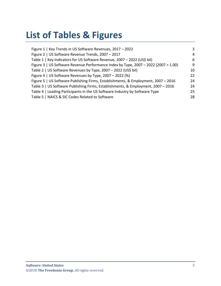# **List of Tables & Figures**

| Figure 1   Key Trends in US Software Revenues, 2017 - 2022                          | 3  |
|-------------------------------------------------------------------------------------|----|
| Figure 2   US Software Revenue Trends, 2007 - 2017                                  | 4  |
| Table 1   Key Indicators for US Software Revenue, 2007 - 2022 (US\$ bil)            | 6  |
| Figure 3   US Software Revenue Performance Index by Type, 2007 - 2022 (2007 = 1.00) | q  |
| Table 2   US Software Revenues by Type, 2007 - 2022 (US\$ bil)                      | 10 |
| Figure 4   US Software Revenues by Type, 2007 - 2022 (%)                            | 22 |
| Figure 5   US Software Publishing Firms, Establishments, & Employment, 2007 - 2016  | 24 |
| Table 3   US Software Publishing Firms, Establishments, & Employment, 2007 - 2016   | 24 |
| Table 4   Leading Participants in the US Software Industry by Software Type         | 25 |
| Table 5   NAICS & SIC Codes Related to Software                                     | 28 |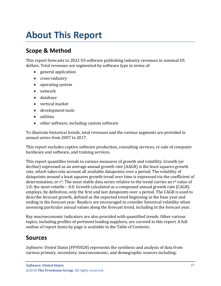# <span id="page-3-0"></span>**About This Report**

# <span id="page-3-1"></span>**Scope & Method**

This report forecasts to 2022 US software publishing industry revenues in nominal US dollars. Total revenues are segmented by software type in terms of:

- general application
- cross-industry
- operating system
- network
- database
- vertical market
- development tools
- utilities
- other software, including custom software

To illustrate historical trends, total revenues and the various segments are provided in annual series from 2007 to 2017.

This report excludes captive software production, consulting services, re-sale of computer hardware and software, and training services.

This report quantifies trends in various measures of growth and volatility. Growth (or decline) expressed as an average annual growth rate (AAGR) is the least squares growth rate, which takes into account all available datapoints over a period. The volatility of datapoints around a least squares growth trend over time is expressed via the coefficient of determination, or  $r^2$ . The most stable data series relative to the trend carries an  $r^2$  value of 1.0; the most volatile – 0.0. Growth calculated as a compound annual growth rate (CAGR) employs, by definition, only the first and last datapoints over a period. The CAGR is used to describe forecast growth, defined as the expected trend beginning in the base year and ending in the forecast year. Readers are encouraged to consider historical volatility when assessing particular annual values along the forecast trend, including in the forecast year.

Key macroeconomic indicators are also provided with quantified trends. Other various topics, including profiles of pertinent leading suppliers, are covered in this report. A full outline of report items by page is available in the Table of Contents.

## <span id="page-3-2"></span>**Sources**

*Software: United States* (FF95028) represents the synthesis and analysis of data from various primary, secondary, macroeconomic, and demographic sources including: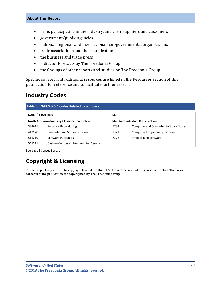#### **About This Report**

- firms participating in the industry, and their suppliers and customers
- government/public agencies
- national, regional, and international non-governmental organizations
- trade associations and their publications
- the business and trade press
- indicator forecasts by The Freedonia Group
- the findings of other reports and studies by The Freedonia Group

Specific sources and additional resources are listed in the Resources section of this publication for reference and to facilitate further research.

## <span id="page-4-0"></span>**Industry Codes**

<span id="page-4-1"></span>

| Table 5   NAICS & SIC Codes Related to Software |                                                      |      |                                              |  |
|-------------------------------------------------|------------------------------------------------------|------|----------------------------------------------|--|
| <b>NAICS/SCIAN 2007</b>                         |                                                      | SIC  |                                              |  |
|                                                 | <b>North American Industry Classification System</b> |      | <b>Standard Industrial Classification</b>    |  |
| 334611                                          | Software Reproducing                                 | 5734 | <b>Computer and Computer Software Stores</b> |  |
| 443120                                          | <b>Computer and Software Stores</b>                  | 7371 | <b>Computer Programming Services</b>         |  |
| 511210                                          | Software Publishers                                  | 7372 | Prepackaged Software                         |  |
| 541511                                          | <b>Custom Computer Programming Services</b>          |      |                                              |  |

Source: US Census Bureau

# **Copyright & Licensing**

The full report is protected by copyright laws of the United States of America and international treaties. The entire contents of the publication are copyrighted by The Freedonia Group.